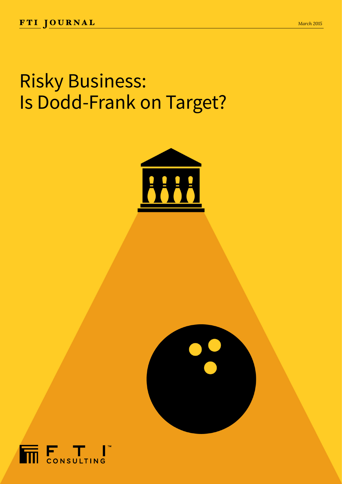## Risky Business: Is Dodd-Frank on Target?





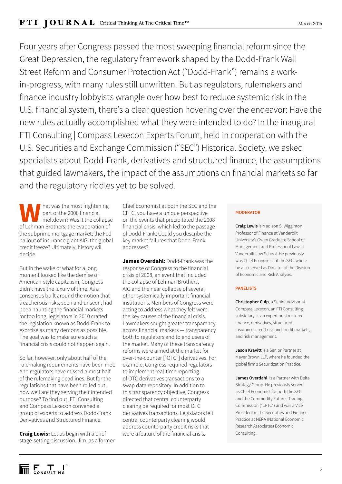Four years after Congress passed the most sweeping financial reform since the Great Depression, the regulatory framework shaped by the Dodd-Frank Wall Street Reform and Consumer Protection Act ("Dodd-Frank") remains a workin-progress, with many rules still unwritten. But as regulators, rulemakers and finance industry lobbyists wrangle over how best to reduce systemic risk in the U.S. financial system, there's a clear question hovering over the endeavor: Have the new rules actually accomplished what they were intended to do? In the inaugural FTI Consulting | Compass Lexecon Experts Forum, held in cooperation with the U.S. Securities and Exchange Commission ("SEC") Historical Society, we asked specialists about Dodd-Frank, derivatives and structured finance, the assumptions that guided lawmakers, the impact of the assumptions on financial markets so far and the regulatory riddles yet to be solved.

**W** hat was the most frightening<br>
part of the 2008 financial<br>
of Lehman Brothers; the evaporation of part of the 2008 financial meltdown? Was it the collapse the subprime mortgage market; the Fed bailout of insurance giant AIG; the global credit freeze? Ultimately, history will decide.

But in the wake of what for a long moment looked like the demise of American-style capitalism, Congress didn't have the luxury of time. As a consensus built around the notion that treacherous risks, seen and unseen, had been haunting the financial markets for too long, legislators in 2010 crafted the legislation known as Dodd-Frank to exorcise as many demons as possible. The goal was to make sure such a financial crisis could not happen again.

So far, however, only about half of the rulemaking requirements have been met. And regulators have missed almost half of the rulemaking deadlines. But for the regulations that have been rolled out, how well are they serving their intended purpose? To find out, FTI Consulting and Compass Lexecon convened a group of experts to address Dodd-Frank Derivatives and Structured Finance.

**Craig Lewis:** Let us begin with a brief stage-setting discussion. Jim, as a former Chief Economist at both the SEC and the CFTC, you have a unique perspective on the events that precipitated the 2008 financial crisis, which led to the passage of Dodd-Frank. Could you describe the key market failures that Dodd-Frank addresses?

**James Overdahl:** Dodd-Frank was the response of Congress to the financial crisis of 2008, an event that included the collapse of Lehman Brothers, AIG and the near collapse of several other systemically important financial institutions. Members of Congress were acting to address what they felt were the key causes of the financial crisis. Lawmakers sought greater transparency across financial markets — transparency both to regulators and to end users of the market. Many of these transparency reforms were aimed at the market for over-the-counter ["OTC"] derivatives. For example, Congress required regulators to implement real-time reporting of OTC derivatives transactions to a swap data repository. In addition to this transparency objective, Congress directed that central counterparty clearing be required for most OTC derivatives transactions. Legislators felt central counterparty clearing would address counterparty credit risks that were a feature of the financial crisis.

## **MODERATOR**

**Craig Lewis** is Madison S. Wigginton Professor of Finance at Vanderbilt University's Owen Graduate School of Management and Professor of Law at Vanderbilt Law School. He previously was Chief Economist at the SEC, where he also served as Director of the Division of Economic and Risk Analysis.

## **PANELISTS**

**Christopher Culp**, a Senior Advisor at Compass Lexecon, an FTI Consulting subsidiary, is an expert on structured finance, derivatives, structured insurance, credit risk and credit markets, and risk management.

**Jason Kravitt** is a Senior Partner at Mayer Brown LLP, where he founded the global firm's Securitization Practice.

**James Overdahl**, is a Partner with Delta Strategy Group. He previously served as Chief Economist for both the SEC and the Commodity Futures Trading Commission ("CFTC") and was a Vice President in the Securities and Finance Practice at NERA (National Economic Research Associates) Economic Consulting.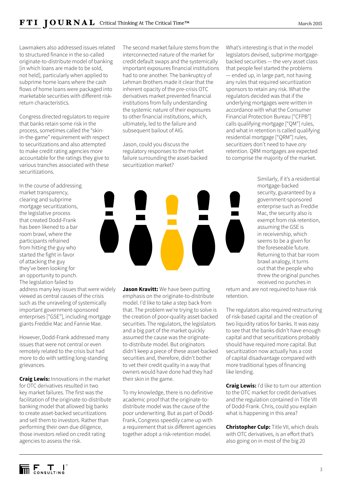Lawmakers also addressed issues related to structured finance in the so-called originate-to-distribute model of banking [in which loans are made to be sold, not held], particularly when applied to subprime home loans where the cash flows of home loans were packaged into marketable securities with different riskreturn characteristics.

Congress directed regulators to require that banks retain some risk in the process, sometimes called the "skinin-the-game" requirement with respect to securitizations and also attempted to make credit rating agencies more accountable for the ratings they give to various tranches associated with these securitizations.

In the course of addressing market transparency, clearing and subprime mortgage securitizations, the legislative process that created Dodd-Frank has been likened to a bar room brawl, where the participants refrained from hitting the guy who started the fight in favor of attacking the guy they've been looking for an opportunity to punch. The legislation failed to

address many key issues that were widely viewed as central causes of the crisis such as the unraveling of systemically important government-sponsored enterprises ["GSE"], including mortgage giants Freddie Mac and Fannie Mae.

However, Dodd-Frank addressed many issues that were not central or even remotely related to the crisis but had more to do with settling long-standing grievances.

**Craig Lewis:** Innovations in the market for OTC derivatives resulted in two key market failures. The first was the facilitation of the originate-to-distribute banking model that allowed big banks to create asset-backed securitizations and sell them to investors. Rather than performing their own due diligence, those investors relied on credit rating agencies to assess the risk.

The second market failure stems from the interconnected nature of the market for credit default swaps and the systemically important exposures financial institutions had to one another. The bankruptcy of Lehman Brothers made it clear that the inherent opacity of the pre-crisis OTC derivatives market prevented financial institutions from fully understanding the systemic nature of their exposures to other financial institutions, which, ultimately, led to the failure and subsequent bailout of AIG.

Jason, could you discuss the regulatory responses to the market failure surrounding the asset-backed securitization market?

What's interesting is that in the model legislators devised, subprime mortgagebacked securities — the very asset class that people feel started the problems — ended up, in large part, not having any rules that required securitization sponsors to retain any risk. What the regulators decided was that if the underlying mortgages were written in accordance with what the Consumer Financial Protection Bureau ["CFPB"] calls qualifying mortgage ["QM"] rules, and what in retention is called qualifying residential mortgage ["QRM"] rules, securitizers don't need to have *any* retention. QRM mortgages are expected to comprise the majority of the market.

> Similarly, if it's a residential mortgage-backed security, guaranteed by a government-sponsored enterprise such as Freddie Mac, the security also is exempt from risk retention, assuming the GSE is in receivership, which seems to be a given for the foreseeable future. Returning to that bar room brawl analogy, it turns out that the people who threw the original punches received no punches in

return and are not required to have risk retention.

The regulators also required restructuring of risk-based capital and the creation of two liquidity ratios for banks. It was easy to see that the banks didn't have enough capital and that securitizations probably should have required more capital. But securitization now actually has a cost of capital disadvantage compared with more traditional types of financing like lending.

**Craig Lewis:** I'd like to turn our attention to the OTC market for credit derivatives and the regulation contained in Title VII of Dodd-Frank. Chris, could you explain what is happening in this area?

**Christopher Culp:** Title VII, which deals with OTC derivatives, is an effort that's also going on in most of the big 20

**Jason Kravitt:** We have been putting emphasis on the originate-to-distribute model. I'd like to take a step back from that. The problem we're trying to solve is the creation of poor-quality asset-backed securities. The regulators, the legislators and a big part of the market quickly assumed the cause was the originateto-distribute model. But originators didn't keep a piece of these asset-backed securities and, therefore, didn't bother to vet their credit quality in a way that owners would have done had they had their skin in the game.

To my knowledge, there is no definitive academic proof that the originate-todistribute model was the cause of the poor underwriting. But as part of Dodd-Frank, Congress speedily came up with a requirement that six different agencies together adopt a risk-retention model.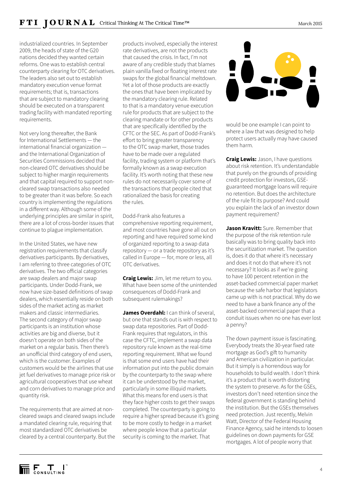industrialized countries. In September 2009, the heads of state of the G20 nations decided they wanted certain reforms. One was to establish central counterparty clearing for OTC derivatives. The leaders also set out to establish mandatory execution venue format requirements; that is, transactions that are subject to mandatory clearing should be executed on a transparent trading facility with mandated reporting requirements.

Not very long thereafter, the Bank for International Settlements — the international financial organization and the International Organization of Securities Commissions decided that non-cleared OTC derivatives should be subject to higher margin requirements and that capital required to support noncleared swap transactions also needed to be greater than it was before. So each country is implementing the regulations in a different way. Although some of the underlying principles are similar in spirit, there are a lot of cross-border issues that continue to plague implementation.

In the United States, we have new registration requirements that classify derivatives participants. By derivatives, I am referring to three categories of OTC derivatives. The two official categories are swap dealers and major swap participants. Under Dodd-Frank, we now have size-based definitions of swap dealers, which essentially reside on both sides of the market acting as market makers and classic intermediaries. The second category of major swap participants is an institution whose activities are big and diverse, but it doesn't operate on both sides of the market on a regular basis. Then there's an unofficial third category of end users, which is the customer. Examples of customers would be the airlines that use jet fuel derivatives to manage price risk or agricultural cooperatives that use wheat and corn derivatives to manage price and quantity risk.

The requirements that are aimed at noncleared swaps and cleared swaps include a mandated clearing rule, requiring that most standardized OTC derivatives be cleared by a central counterparty. But the

products involved, especially the interest rate derivatives, are not the products that caused the crisis. In fact, I'm not aware of any credible study that blames plain vanilla fixed or floating interest rate swaps for the global financial meltdown. Yet a lot of those products are exactly the ones that have been implicated by the mandatory clearing rule. Related to that is a mandatory venue execution rule for products that are subject to the clearing mandate or for other products that are specifically identified by the CFTC or the SEC. As part of Dodd-Frank's effort to bring greater transparency to the OTC swap market, those trades have to be made over a regulated facility, trading system or platform that's formally known as a swap execution facility. It's worth noting that these new rules do not necessarily cover some of the transactions that people cited that rationalized the basis for creating the rules.

Dodd-Frank also features a comprehensive reporting requirement, and most countries have gone all out on reporting and have required some kind of organized reporting to a swap data repository — or a trade repository as it's called in Europe — for, more or less, all OTC derivatives.

**Craig Lewis:** Jim, let me return to you. What have been some of the unintended consequences of Dodd-Frank and subsequent rulemakings?

**James Overdahl:** I can think of several, but one that stands out is with respect to swap data repositories. Part of Dodd-Frank requires that regulators, in this case the CFTC, implement a swap data repository rule known as the real-time reporting requirement. What we found is that some end users have had their information put into the public domain by the counterparty to the swap where it can be understood by the market, particularly in some illiquid markets. What this means for end users is that they face higher costs to get their swaps completed. The counterparty is going to require a higher spread because it's going to be more costly to hedge in a market where people know that a particular security is coming to the market. That



would be one example I can point to where a law that was designed to help protect users actually may have caused them harm.

**Craig Lewis:** Jason, I have questions about risk retention. It's understandable that purely on the grounds of providing credit protection for investors, GSEguaranteed mortgage loans will require no retention. But does the architecture of the rule fit its purpose? And could you explain the lack of an investor down payment requirement?

**Jason Kravitt:** Sure. Remember that the purpose of the risk retention rule basically was to bring quality back into the securitization market. The question is, does it do that where it's necessary and does it not do that where it's not necessary? It looks as if we're going to have 100 percent retention in the asset-backed commercial paper market because the safe harbor that legislators came up with is not practical. Why do we need to have a bank finance any of the asset-backed commercial paper that a conduit issues when no one has ever lost a penny?

The down payment issue is fascinating. Everybody treats the 30-year fixed rate mortgage as God's gift to humanity and American civilization in particular. But it simply is a horrendous way for households to build wealth. I don't think it's a product that is worth distorting the system to preserve. As for the GSEs, investors don't need retention since the federal government is standing behind the institution. But the GSEs themselves need protection. Just recently, Melvin Watt, Director of the Federal Housing Finance Agency, said he intends to loosen guidelines on down payments for GSE mortgages. A lot of people worry that